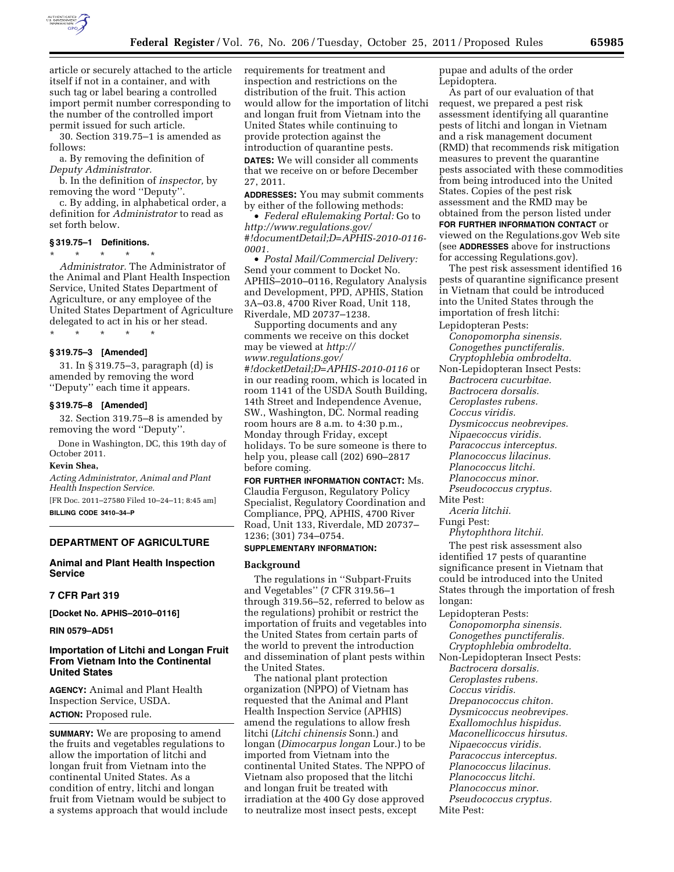

article or securely attached to the article itself if not in a container, and with such tag or label bearing a controlled import permit number corresponding to the number of the controlled import permit issued for such article.

30. Section 319.75–1 is amended as follows:

a. By removing the definition of *Deputy Administrator.* 

b. In the definition of *inspector,* by removing the word ''Deputy''.

c. By adding, in alphabetical order, a definition for *Administrator* to read as set forth below.

# **§ 319.75–1 Definitions.**

\* \* \* \* \*

*Administrator.* The Administrator of the Animal and Plant Health Inspection Service, United States Department of Agriculture, or any employee of the United States Department of Agriculture delegated to act in his or her stead.

\* \* \* \* \*

# **§ 319.75–3 [Amended]**

31. In § 319.75–3, paragraph (d) is amended by removing the word ''Deputy'' each time it appears.

#### **§ 319.75–8 [Amended]**

32. Section 319.75–8 is amended by removing the word ''Deputy''.

Done in Washington, DC, this 19th day of October 2011.

# **Kevin Shea,**

*Acting Administrator, Animal and Plant Health Inspection Service.*  [FR Doc. 2011–27580 Filed 10–24–11; 8:45 am] **BILLING CODE 3410–34–P** 

## **DEPARTMENT OF AGRICULTURE**

**Animal and Plant Health Inspection Service** 

## **7 CFR Part 319**

**[Docket No. APHIS–2010–0116]** 

**RIN 0579–AD51** 

# **Importation of Litchi and Longan Fruit From Vietnam Into the Continental United States**

**AGENCY:** Animal and Plant Health Inspection Service, USDA. **ACTION:** Proposed rule.

**SUMMARY:** We are proposing to amend the fruits and vegetables regulations to allow the importation of litchi and longan fruit from Vietnam into the continental United States. As a condition of entry, litchi and longan fruit from Vietnam would be subject to a systems approach that would include requirements for treatment and inspection and restrictions on the distribution of the fruit. This action would allow for the importation of litchi and longan fruit from Vietnam into the United States while continuing to provide protection against the introduction of quarantine pests. **DATES:** We will consider all comments that we receive on or before December 27, 2011.

**ADDRESSES:** You may submit comments by either of the following methods:

• *Federal eRulemaking Portal:* Go to *[http://www.regulations.gov/](http://www.regulations.gov/#!documentDetail;D=APHIS-2010-0116-0001)  [#!documentDetail;D=APHIS-2010-0116-](http://www.regulations.gov/#!documentDetail;D=APHIS-2010-0116-0001) [0001.](http://www.regulations.gov/#!documentDetail;D=APHIS-2010-0116-0001)* 

• *Postal Mail/Commercial Delivery:*  Send your comment to Docket No. APHIS–2010–0116, Regulatory Analysis and Development, PPD, APHIS, Station 3A–03.8, 4700 River Road, Unit 118, Riverdale, MD 20737–1238.

Supporting documents and any comments we receive on this docket may be viewed at *[http://](http://www.regulations.gov/#!docketDetail;D=APHIS-2010-0116)  [www.regulations.gov/](http://www.regulations.gov/#!docketDetail;D=APHIS-2010-0116) [#!docketDetail;D=APHIS-2010-0116](http://www.regulations.gov/#!docketDetail;D=APHIS-2010-0116)* or in our reading room, which is located in room 1141 of the USDA South Building, 14th Street and Independence Avenue, SW., Washington, DC. Normal reading room hours are 8 a.m. to 4:30 p.m., Monday through Friday, except holidays. To be sure someone is there to help you, please call (202) 690–2817 before coming.

**FOR FURTHER INFORMATION CONTACT:** Ms. Claudia Ferguson, Regulatory Policy Specialist, Regulatory Coordination and Compliance, PPQ, APHIS, 4700 River Road, Unit 133, Riverdale, MD 20737– 1236; (301) 734–0754.

### **SUPPLEMENTARY INFORMATION:**

#### **Background**

The regulations in ''Subpart-Fruits and Vegetables'' (7 CFR 319.56–1 through 319.56–52, referred to below as the regulations) prohibit or restrict the importation of fruits and vegetables into the United States from certain parts of the world to prevent the introduction and dissemination of plant pests within the United States.

The national plant protection organization (NPPO) of Vietnam has requested that the Animal and Plant Health Inspection Service (APHIS) amend the regulations to allow fresh litchi (*Litchi chinensis* Sonn.) and longan (*Dimocarpus longan* Lour.) to be imported from Vietnam into the continental United States. The NPPO of Vietnam also proposed that the litchi and longan fruit be treated with irradiation at the 400 Gy dose approved to neutralize most insect pests, except

pupae and adults of the order Lepidoptera.

As part of our evaluation of that request, we prepared a pest risk assessment identifying all quarantine pests of litchi and longan in Vietnam and a risk management document (RMD) that recommends risk mitigation measures to prevent the quarantine pests associated with these commodities from being introduced into the United States. Copies of the pest risk assessment and the RMD may be obtained from the person listed under **FOR FURTHER INFORMATION CONTACT** or viewed on the Regulations.gov Web site (see **ADDRESSES** above for instructions for accessing Regulations.gov).

The pest risk assessment identified 16 pests of quarantine significance present in Vietnam that could be introduced into the United States through the importation of fresh litchi:

Lepidopteran Pests: *Conopomorpha sinensis. Conogethes punctiferalis. Cryptophlebia ombrodelta.* 

Non-Lepidopteran Insect Pests: *Bactrocera cucurbitae. Bactrocera dorsalis. Ceroplastes rubens. Coccus viridis. Dysmicoccus neobrevipes. Nipaecoccus viridis. Paracoccus interceptus. Planococcus lilacinus. Planococcus litchi. Planococcus minor. Pseudococcus cryptus.* 

Mite Pest:

*Aceria litchii.* 

Fungi Pest:

*Phytophthora litchii.*  The pest risk assessment also identified 17 pests of quarantine significance present in Vietnam that could be introduced into the United States through the importation of fresh longan:

Lepidopteran Pests: *Conopomorpha sinensis. Conogethes punctiferalis. Cryptophlebia ombrodelta.*  Non-Lepidopteran Insect Pests: *Bactrocera dorsalis. Ceroplastes rubens. Coccus viridis. Drepanococcus chiton. Dysmicoccus neobrevipes. Exallomochlus hispidus. Maconellicoccus hirsutus. Nipaecoccus viridis. Paracoccus interceptus. Planococcus lilacinus. Planococcus litchi.* 

*Planococcus minor. Pseudococcus cryptus.* 

Mite Pest: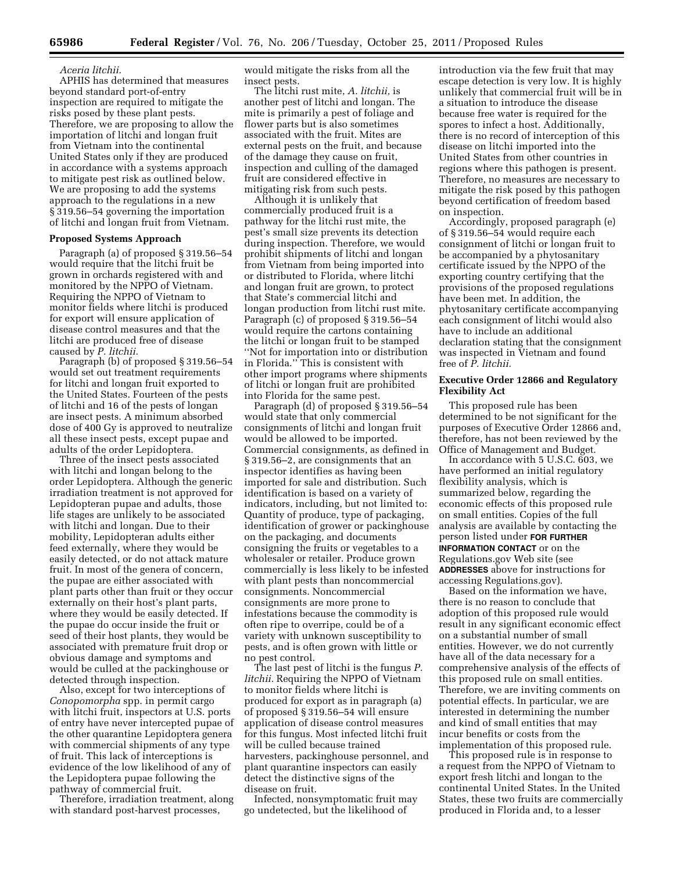## *Aceria litchii.*

APHIS has determined that measures beyond standard port-of-entry inspection are required to mitigate the risks posed by these plant pests. Therefore, we are proposing to allow the importation of litchi and longan fruit from Vietnam into the continental United States only if they are produced in accordance with a systems approach to mitigate pest risk as outlined below. We are proposing to add the systems approach to the regulations in a new § 319.56–54 governing the importation of litchi and longan fruit from Vietnam.

### **Proposed Systems Approach**

Paragraph (a) of proposed § 319.56–54 would require that the litchi fruit be grown in orchards registered with and monitored by the NPPO of Vietnam. Requiring the NPPO of Vietnam to monitor fields where litchi is produced for export will ensure application of disease control measures and that the litchi are produced free of disease caused by *P. litchii.* 

Paragraph (b) of proposed § 319.56–54 would set out treatment requirements for litchi and longan fruit exported to the United States. Fourteen of the pests of litchi and 16 of the pests of longan are insect pests. A minimum absorbed dose of 400 Gy is approved to neutralize all these insect pests, except pupae and adults of the order Lepidoptera.

Three of the insect pests associated with litchi and longan belong to the order Lepidoptera. Although the generic irradiation treatment is not approved for Lepidopteran pupae and adults, those life stages are unlikely to be associated with litchi and longan. Due to their mobility, Lepidopteran adults either feed externally, where they would be easily detected, or do not attack mature fruit. In most of the genera of concern, the pupae are either associated with plant parts other than fruit or they occur externally on their host's plant parts, where they would be easily detected. If the pupae do occur inside the fruit or seed of their host plants, they would be associated with premature fruit drop or obvious damage and symptoms and would be culled at the packinghouse or detected through inspection.

Also, except for two interceptions of *Conopomorpha* spp. in permit cargo with litchi fruit, inspectors at U.S. ports of entry have never intercepted pupae of the other quarantine Lepidoptera genera with commercial shipments of any type of fruit. This lack of interceptions is evidence of the low likelihood of any of the Lepidoptera pupae following the pathway of commercial fruit.

Therefore, irradiation treatment, along with standard post-harvest processes,

would mitigate the risks from all the insect pests.

The litchi rust mite, *A. litchii,* is another pest of litchi and longan. The mite is primarily a pest of foliage and flower parts but is also sometimes associated with the fruit. Mites are external pests on the fruit, and because of the damage they cause on fruit, inspection and culling of the damaged fruit are considered effective in mitigating risk from such pests.

Although it is unlikely that commercially produced fruit is a pathway for the litchi rust mite, the pest's small size prevents its detection during inspection. Therefore, we would prohibit shipments of litchi and longan from Vietnam from being imported into or distributed to Florida, where litchi and longan fruit are grown, to protect that State's commercial litchi and longan production from litchi rust mite. Paragraph (c) of proposed § 319.56–54 would require the cartons containing the litchi or longan fruit to be stamped ''Not for importation into or distribution in Florida.'' This is consistent with other import programs where shipments of litchi or longan fruit are prohibited into Florida for the same pest.

Paragraph (d) of proposed § 319.56–54 would state that only commercial consignments of litchi and longan fruit would be allowed to be imported. Commercial consignments, as defined in § 319.56–2, are consignments that an inspector identifies as having been imported for sale and distribution. Such identification is based on a variety of indicators, including, but not limited to: Quantity of produce, type of packaging, identification of grower or packinghouse on the packaging, and documents consigning the fruits or vegetables to a wholesaler or retailer. Produce grown commercially is less likely to be infested with plant pests than noncommercial consignments. Noncommercial consignments are more prone to infestations because the commodity is often ripe to overripe, could be of a variety with unknown susceptibility to pests, and is often grown with little or no pest control.

The last pest of litchi is the fungus *P. litchii.* Requiring the NPPO of Vietnam to monitor fields where litchi is produced for export as in paragraph (a) of proposed § 319.56–54 will ensure application of disease control measures for this fungus. Most infected litchi fruit will be culled because trained harvesters, packinghouse personnel, and plant quarantine inspectors can easily detect the distinctive signs of the disease on fruit.

Infected, nonsymptomatic fruit may go undetected, but the likelihood of

introduction via the few fruit that may escape detection is very low. It is highly unlikely that commercial fruit will be in a situation to introduce the disease because free water is required for the spores to infect a host. Additionally, there is no record of interception of this disease on litchi imported into the United States from other countries in regions where this pathogen is present. Therefore, no measures are necessary to mitigate the risk posed by this pathogen beyond certification of freedom based on inspection.

Accordingly, proposed paragraph (e) of § 319.56–54 would require each consignment of litchi or longan fruit to be accompanied by a phytosanitary certificate issued by the NPPO of the exporting country certifying that the provisions of the proposed regulations have been met. In addition, the phytosanitary certificate accompanying each consignment of litchi would also have to include an additional declaration stating that the consignment was inspected in Vietnam and found free of *P. litchii.* 

## **Executive Order 12866 and Regulatory Flexibility Act**

This proposed rule has been determined to be not significant for the purposes of Executive Order 12866 and, therefore, has not been reviewed by the Office of Management and Budget.

In accordance with 5 U.S.C. 603, we have performed an initial regulatory flexibility analysis, which is summarized below, regarding the economic effects of this proposed rule on small entities. Copies of the full analysis are available by contacting the person listed under **FOR FURTHER INFORMATION CONTACT** or on the Regulations.gov Web site (see **ADDRESSES** above for instructions for accessing Regulations.gov).

Based on the information we have, there is no reason to conclude that adoption of this proposed rule would result in any significant economic effect on a substantial number of small entities. However, we do not currently have all of the data necessary for a comprehensive analysis of the effects of this proposed rule on small entities. Therefore, we are inviting comments on potential effects. In particular, we are interested in determining the number and kind of small entities that may incur benefits or costs from the implementation of this proposed rule.

This proposed rule is in response to a request from the NPPO of Vietnam to export fresh litchi and longan to the continental United States. In the United States, these two fruits are commercially produced in Florida and, to a lesser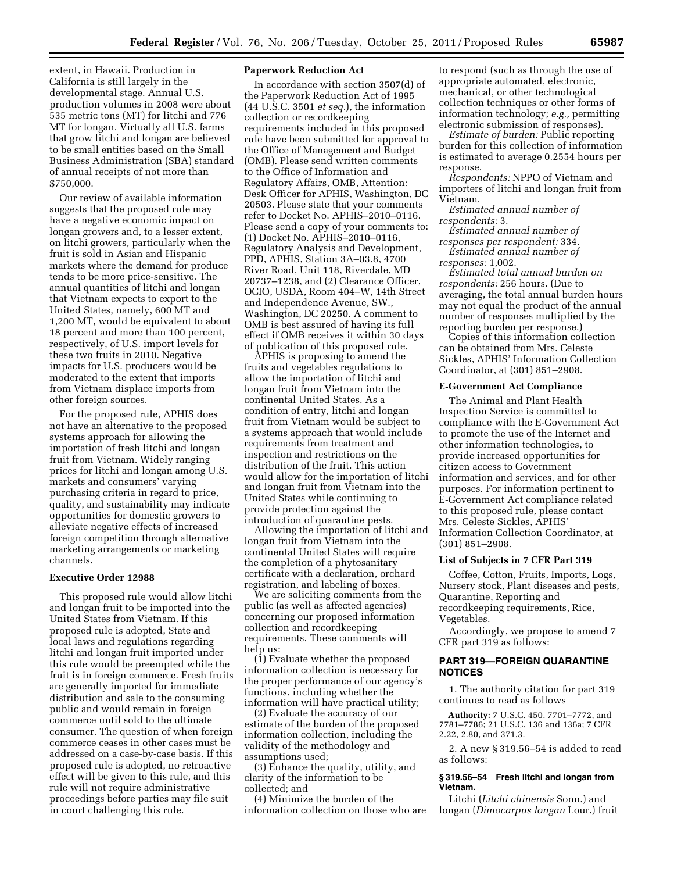extent, in Hawaii. Production in California is still largely in the developmental stage. Annual U.S. production volumes in 2008 were about 535 metric tons (MT) for litchi and 776 MT for longan. Virtually all U.S. farms that grow litchi and longan are believed to be small entities based on the Small Business Administration (SBA) standard of annual receipts of not more than \$750,000.

Our review of available information suggests that the proposed rule may have a negative economic impact on longan growers and, to a lesser extent, on litchi growers, particularly when the fruit is sold in Asian and Hispanic markets where the demand for produce tends to be more price-sensitive. The annual quantities of litchi and longan that Vietnam expects to export to the United States, namely, 600 MT and 1,200 MT, would be equivalent to about 18 percent and more than 100 percent, respectively, of U.S. import levels for these two fruits in 2010. Negative impacts for U.S. producers would be moderated to the extent that imports from Vietnam displace imports from other foreign sources.

For the proposed rule, APHIS does not have an alternative to the proposed systems approach for allowing the importation of fresh litchi and longan fruit from Vietnam. Widely ranging prices for litchi and longan among U.S. markets and consumers' varying purchasing criteria in regard to price, quality, and sustainability may indicate opportunities for domestic growers to alleviate negative effects of increased foreign competition through alternative marketing arrangements or marketing channels.

### **Executive Order 12988**

This proposed rule would allow litchi and longan fruit to be imported into the United States from Vietnam. If this proposed rule is adopted, State and local laws and regulations regarding litchi and longan fruit imported under this rule would be preempted while the fruit is in foreign commerce. Fresh fruits are generally imported for immediate distribution and sale to the consuming public and would remain in foreign commerce until sold to the ultimate consumer. The question of when foreign commerce ceases in other cases must be addressed on a case-by-case basis. If this proposed rule is adopted, no retroactive effect will be given to this rule, and this rule will not require administrative proceedings before parties may file suit in court challenging this rule.

## **Paperwork Reduction Act**

In accordance with section 3507(d) of the Paperwork Reduction Act of 1995 (44 U.S.C. 3501 *et seq.*), the information collection or recordkeeping requirements included in this proposed rule have been submitted for approval to the Office of Management and Budget (OMB). Please send written comments to the Office of Information and Regulatory Affairs, OMB, Attention: Desk Officer for APHIS, Washington, DC 20503. Please state that your comments refer to Docket No. APHIS–2010–0116. Please send a copy of your comments to: (1) Docket No. APHIS–2010–0116, Regulatory Analysis and Development, PPD, APHIS, Station 3A–03.8, 4700 River Road, Unit 118, Riverdale, MD 20737–1238, and (2) Clearance Officer, OCIO, USDA, Room 404–W, 14th Street and Independence Avenue, SW., Washington, DC 20250. A comment to OMB is best assured of having its full effect if OMB receives it within 30 days of publication of this proposed rule.

APHIS is proposing to amend the fruits and vegetables regulations to allow the importation of litchi and longan fruit from Vietnam into the continental United States. As a condition of entry, litchi and longan fruit from Vietnam would be subject to a systems approach that would include requirements from treatment and inspection and restrictions on the distribution of the fruit. This action would allow for the importation of litchi and longan fruit from Vietnam into the United States while continuing to provide protection against the introduction of quarantine pests.

Allowing the importation of litchi and longan fruit from Vietnam into the continental United States will require the completion of a phytosanitary certificate with a declaration, orchard registration, and labeling of boxes.

We are soliciting comments from the public (as well as affected agencies) concerning our proposed information collection and recordkeeping requirements. These comments will help us:

(1) Evaluate whether the proposed information collection is necessary for the proper performance of our agency's functions, including whether the information will have practical utility;

(2) Evaluate the accuracy of our estimate of the burden of the proposed information collection, including the validity of the methodology and assumptions used;

(3) Enhance the quality, utility, and clarity of the information to be collected; and

(4) Minimize the burden of the information collection on those who are

to respond (such as through the use of appropriate automated, electronic, mechanical, or other technological collection techniques or other forms of information technology; *e.g.,* permitting electronic submission of responses).

*Estimate of burden:* Public reporting burden for this collection of information is estimated to average 0.2554 hours per response.

*Respondents:* NPPO of Vietnam and importers of litchi and longan fruit from Vietnam.

*Estimated annual number of respondents:* 3.

*Estimated annual number of responses per respondent:* 334.

*Estimated annual number of responses:* 1,002.

*Estimated total annual burden on respondents:* 256 hours. (Due to averaging, the total annual burden hours may not equal the product of the annual number of responses multiplied by the reporting burden per response.)

Copies of this information collection can be obtained from Mrs. Celeste Sickles, APHIS' Information Collection Coordinator, at (301) 851–2908.

## **E-Government Act Compliance**

The Animal and Plant Health Inspection Service is committed to compliance with the E-Government Act to promote the use of the Internet and other information technologies, to provide increased opportunities for citizen access to Government information and services, and for other purposes. For information pertinent to E-Government Act compliance related to this proposed rule, please contact Mrs. Celeste Sickles, APHIS' Information Collection Coordinator, at (301) 851–2908.

#### **List of Subjects in 7 CFR Part 319**

Coffee, Cotton, Fruits, Imports, Logs, Nursery stock, Plant diseases and pests, Quarantine, Reporting and recordkeeping requirements, Rice, Vegetables.

Accordingly, we propose to amend 7 CFR part 319 as follows:

# **PART 319—FOREIGN QUARANTINE NOTICES**

1. The authority citation for part 319 continues to read as follows

**Authority:** 7 U.S.C. 450, 7701–7772, and 7781–7786; 21 U.S.C. 136 and 136a; 7 CFR 2.22, 2.80, and 371.3.

2. A new § 319.56–54 is added to read as follows:

## **§ 319.56–54 Fresh litchi and longan from Vietnam.**

Litchi (*Litchi chinensis* Sonn.) and longan (*Dimocarpus longan* Lour.) fruit